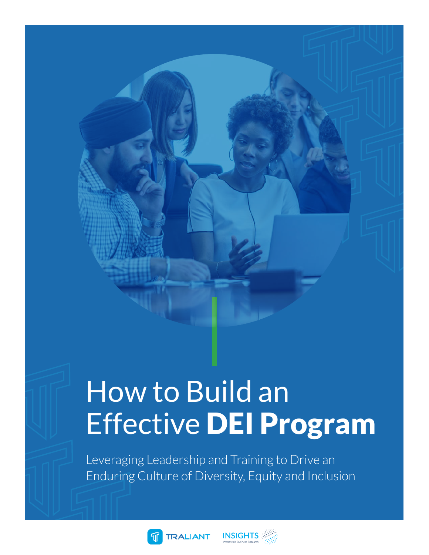# How to Build an Effective DEI Program

Leveraging Leadership and Training to Drive an Enduring Culture of Diversity, Equity and Inclusion



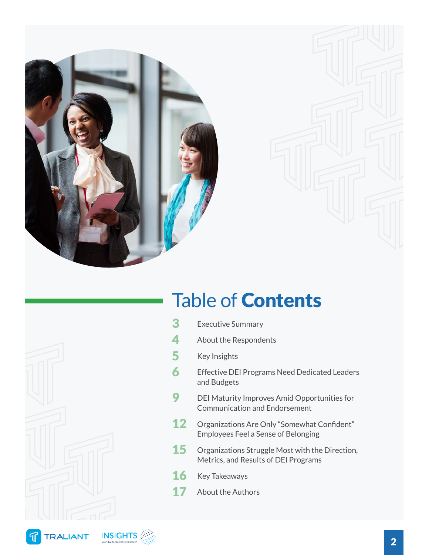

### Table of Contents



- 3 [Executive Summary](#page-2-0)
- 4 [About the Respondents](#page-3-0)
- 5 [Key Insights](#page-4-0)
- 6 Effective DEI Programs Need Dedicated Leaders [and Budgets](#page-5-0)
- 9 DEI Maturity Improves Amid Opportunities for [Communication and Endorsement](#page-8-0)
- 12 Organizations Are Only "Somewhat Confident" [Employees Feel a Sense of Belonging](#page-11-0)
- **15** Organizations Struggle Most with the Direction, [Metrics, and Results of DEI Programs](#page-14-0)
- 16 [Key Takeaways](#page-15-0)
- **17** [About the Authors](#page-16-0)

可

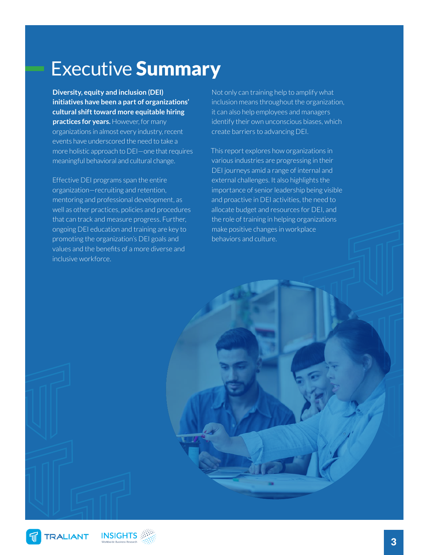### <span id="page-2-0"></span>Executive Summary

**Diversity, equity and inclusion (DEI) initiatives have been a part of organizations' cultural shift toward more equitable hiring practices for years.** However, for many organizations in almost every industry, recent events have underscored the need to take a more holistic approach to DEI—one that requires meaningful behavioral and cultural change.

Effective DEI programs span the entire organization—recruiting and retention, mentoring and professional development, as well as other practices, policies and procedures that can track and measure progress. Further, ongoing DEI education and training are key to promoting the organization's DEI goals and values and the benefits of a more diverse and inclusive workforce.

Not only can training help to amplify what inclusion means throughout the organization, it can also help employees and managers identify their own unconscious biases, which create barriers to advancing DEI.

This report explores how organizations in various industries are progressing in their DEI journeys amid a range of internal and external challenges. It also highlights the importance of senior leadership being visible and proactive in DEI activities, the need to allocate budget and resources for DEI, and the role of training in helping organizations make positive changes in workplace behaviors and culture.

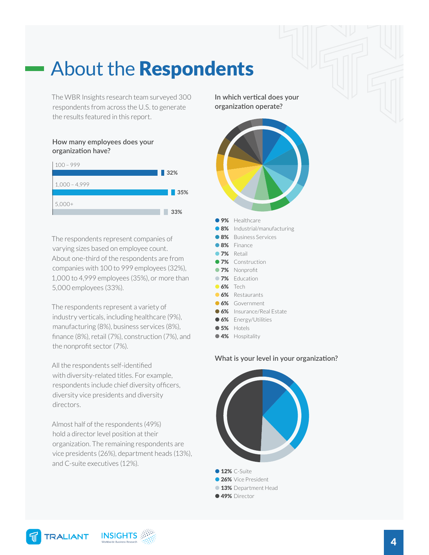### <span id="page-3-0"></span>About the Respondents

The WBR Insights research team surveyed 300 respondents from across the U.S. to generate the results featured in this report.

#### **How many employees does your organization have?**



The respondents represent companies of varying sizes based on employee count. About one-third of the respondents are from companies with 100 to 999 employees (32%), 1,000 to 4,999 employees (35%), or more than 5,000 employees (33%).

The respondents represent a variety of industry verticals, including healthcare (9%), manufacturing (8%), business services (8%), finance (8%), retail (7%), construction (7%), and the nonprofit sector (7%).

All the respondents self-identified with diversity-related titles. For example, respondents include chief diversity officers, diversity vice presidents and diversity directors.

Almost half of the respondents (49%) hold a director level position at their organization. The remaining respondents are vice presidents (26%), department heads (13%), and C-suite executives (12%).

**In which vertical does your organization operate?**



- **8%** Business Services
- 
- **8%** Finance **7%** Retail
- 
- **7%** Construction
- **7%** Nonprofit
- **7%** Education
- **6%** Tech
- 6% Restaurants
- **6%** Government
- **6%** Insurance/Real Estate
- **6%** Energy/Utilities
- **65%** Hotels
- **4%** Hospitality

#### **What is your level in your organization?**



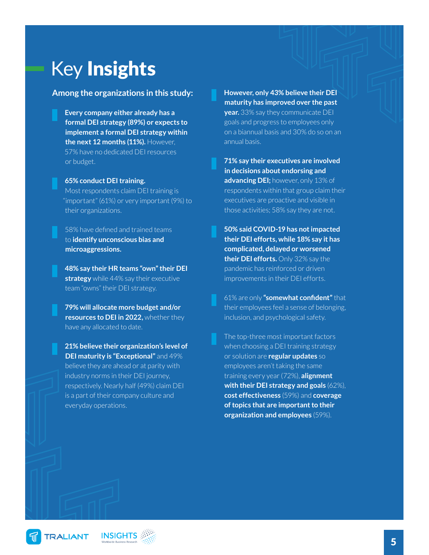### <span id="page-4-0"></span>Key Insights

#### **Among the organizations in this study:**

- **Every company either already has a formal DEI strategy (89%) or expects to implement a formal DEI strategy within the next 12 months (11%).** However, 57% have no dedicated DEI resources or budget.
- **65% conduct DEI training.** Most respondents claim DEI training is

"important" (61%) or very important (9%) to their organizations.

58% have defined and trained teams to **identify unconscious bias and microaggressions.**

**48% say their HR teams "own" their DEI strategy** while 44% say their executive team "owns" their DEI strategy.

**79% will allocate more budget and/or resources to DEI in 2022,** whether they have any allocated to date.

**21% believe their organization's level of DEI maturity is "Exceptional"** and 49% believe they are ahead or at parity with industry norms in their DEI journey, respectively. Nearly half (49%) claim DEI is a part of their company culture and everyday operations.

**However, only 43% believe their DEI maturity has improved over the past year.** 33% say they communicate DEI goals and progress to employees only on a biannual basis and 30% do so on an annual basis.

**71% say their executives are involved in decisions about endorsing and advancing DEI;** however, only 13% of respondents within that group claim their executives are proactive and visible in those activities; 58% say they are not.

**50% said COVID-19 has not impacted their DEI efforts, while 18% say it has complicated, delayed or worsened their DEI efforts.** Only 32% say the pandemic has reinforced or driven improvements in their DEI efforts.

61% are only **"somewhat confident"** that their employees feel a sense of belonging, inclusion, and psychological safety.

The top-three most important factors when choosing a DEI training strategy or solution are **regular updates** so employees aren't taking the same training every year (72%), **alignment with their DEI strategy and goals** (62%), **cost effectiveness** (59%) and **coverage of topics that are important to their organization and employees** (59%).

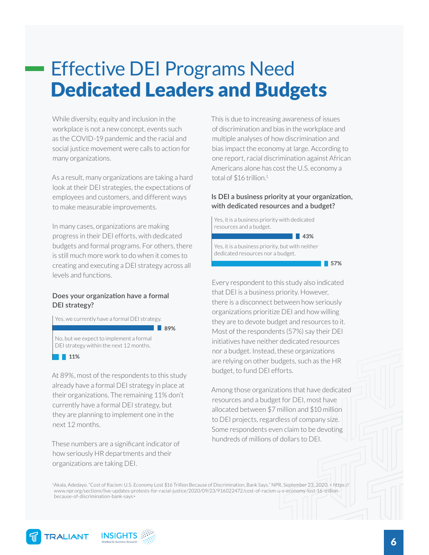### <span id="page-5-0"></span>Effective DEI Programs Need Dedicated Leaders and Budgets

While diversity, equity and inclusion in the workplace is not a new concept, events such as the COVID-19 pandemic and the racial and social justice movement were calls to action for many organizations.

As a result, many organizations are taking a hard look at their DEI strategies, the expectations of employees and customers, and different ways to make measurable improvements.

In many cases, organizations are making progress in their DEI efforts, with dedicated budgets and formal programs. For others, there is still much more work to do when it comes to creating and executing a DEI strategy across all levels and functions.

#### **Does your organization have a formal DEI strategy?**

Yes, we currently have a formal DEI strategy.

**89%**

No, but we expect to implement a formal DEI strategy within the next 12 months.

#### **11%**

At 89%, most of the respondents to this study already have a formal DEI strategy in place at their organizations. The remaining 11% don't currently have a formal DEI strategy, but they are planning to implement one in the next 12 months.

These numbers are a significant indicator of how seriously HR departments and their organizations are taking DEI.

This is due to increasing awareness of issues of discrimination and bias in the workplace and multiple analyses of how discrimination and bias impact the economy at large. According to one report, racial discrimination against African Americans alone has cost the U.S. economy a total of \$16 trillion.<sup>1</sup>

#### **Is DEI a business priority at your organization, with dedicated resources and a budget?**

Yes, it is a business priority with dedicated resources and a budget.

**43%**

Yes, it is a business priority, but with neither dedicated resources nor a budget.

**57%**

Every respondent to this study also indicated that DEI is a business priority. However, there is a disconnect between how seriously organizations prioritize DEI and how willing they are to devote budget and resources to it. Most of the respondents (57%) say their DEI initiatives have neither dedicated resources nor a budget. Instead, these organizations are relying on other budgets, such as the HR budget, to fund DEI efforts.

Among those organizations that have dedicated resources and a budget for DEI, most have allocated between \$7 million and \$10 million to DEI projects, regardless of company size. Some respondents even claim to be devoting hundreds of millions of dollars to DEI.

1Akala, Adedayo. "Cost of Racism: U.S. Economy Lost \$16 Trillion Because of Discrimination, Bank Says." NPR, September 23, 2020. < https:// www.npr.org/sections/live-updates-protests-for-racial-justice/2020/09/23/916022472/cost-of-racism-u-s-economy-lost-16-trillionbecause-of-discrimination-bank-says>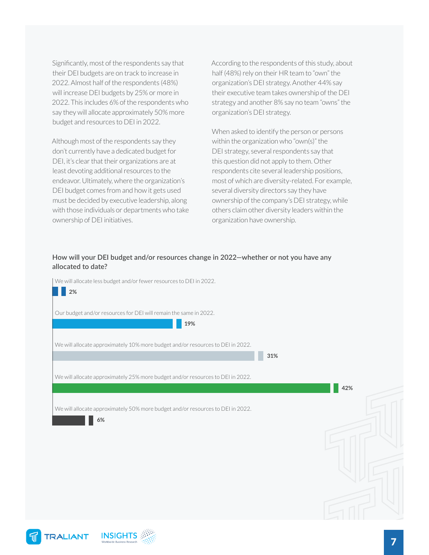Significantly, most of the respondents say that their DEI budgets are on track to increase in 2022. Almost half of the respondents (48%) will increase DEI budgets by 25% or more in 2022. This includes 6% of the respondents who say they will allocate approximately 50% more budget and resources to DEI in 2022.

Although most of the respondents say they don't currently have a dedicated budget for DEI, it's clear that their organizations are at least devoting additional resources to the endeavor. Ultimately, where the organization's DEI budget comes from and how it gets used must be decided by executive leadership, along with those individuals or departments who take ownership of DEI initiatives.

According to the respondents of this study, about half (48%) rely on their HR team to "own" the organization's DEI strategy. Another 44% say their executive team takes ownership of the DEI strategy and another 8% say no team "owns" the organization's DEI strategy.

When asked to identify the person or persons within the organization who "own(s)" the DEI strategy, several respondents say that this question did not apply to them. Other respondents cite several leadership positions, most of which are diversity-related. For example, several diversity directors say they have ownership of the company's DEI strategy, while others claim other diversity leaders within the organization have ownership.

#### **How will your DEI budget and/or resources change in 2022—whether or not you have any allocated to date?**

We will allocate less budget and/or fewer resources to DEI in 2022. Our budget and/or resources for DEI will remain the same in 2022. We will allocate approximately 10% more budget and/or resources to DEI in 2022. We will allocate approximately 25% more budget and/or resources to DEI in 2022. We will allocate approximately 50% more budget and/or resources to DEI in 2022. **2% 19% 31% 42% 6%**

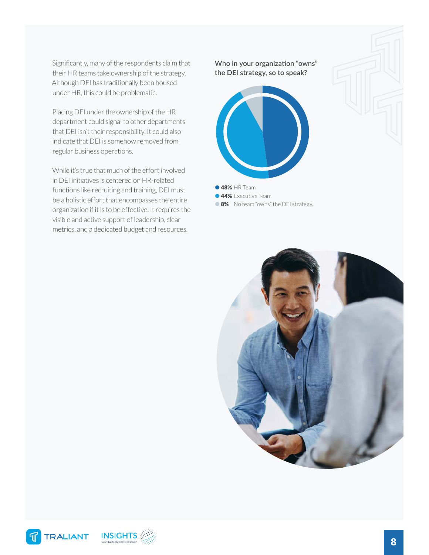Significantly, many of the respondents claim that their HR teams take ownership of the strategy. Although DEI has traditionally been housed under HR, this could be problematic.

Placing DEI under the ownership of the HR department could signal to other departments that DEI isn't their responsibility. It could also indicate that DEI is somehow removed from regular business operations.

While it's true that much of the effort involved in DEI initiatives is centered on HR-related functions like recruiting and training, DEI must be a holistic effort that encompasses the entire organization if it is to be effective. It requires the visible and active support of leadership, clear metrics, and a dedicated budget and resources.

**Who in your organization "owns" the DEI strategy, so to speak?**



**48% HR Team 44%** Executive Team

**8%** No team "owns" the DEI strategy.

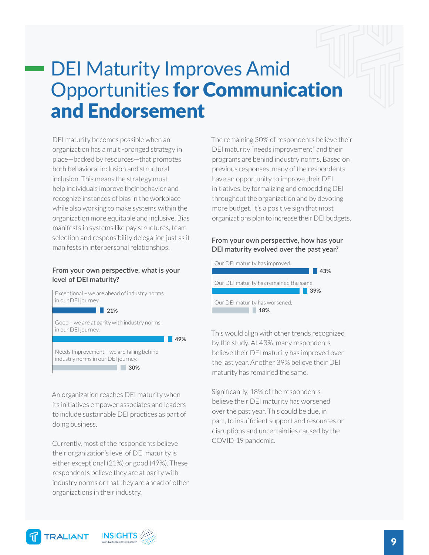### <span id="page-8-0"></span>DEI Maturity Improves Amid Opportunities for Communication and Endorsement

DEI maturity becomes possible when an organization has a multi-pronged strategy in place—backed by resources—that promotes both behavioral inclusion and structural inclusion. This means the strategy must help individuals improve their behavior and recognize instances of bias in the workplace while also working to make systems within the organization more equitable and inclusive. Bias manifests in systems like pay structures, team selection and responsibility delegation just as it manifests in interpersonal relationships.

#### **From your own perspective, what is your level of DEI maturity?**

Exceptional – we are ahead of industry norms in our DEI journey. Good – we are at parity with industry norms in our DEI journey. **21%**

**49%**

Needs Improvement – we are falling behind industry norms in our DEI journey. **30%**

An organization reaches DEI maturity when its initiatives empower associates and leaders to include sustainable DEI practices as part of doing business.

Currently, most of the respondents believe their organization's level of DEI maturity is either exceptional (21%) or good (49%). These respondents believe they are at parity with industry norms or that they are ahead of other organizations in their industry.

The remaining 30% of respondents believe their DEI maturity "needs improvement" and their programs are behind industry norms. Based on previous responses, many of the respondents have an opportunity to improve their DEI initiatives, by formalizing and embedding DEI throughout the organization and by devoting more budget. It's a positive sign that most organizations plan to increase their DEI budgets.

#### **From your own perspective, how has your DEI maturity evolved over the past year?**

Our DEI maturity has improved. Our DEI maturity has remained the same. Our DEI maturity has worsened. **43% 39% 18%**

This would align with other trends recognized by the study. At 43%, many respondents believe their DEI maturity has improved over the last year. Another 39% believe their DEI maturity has remained the same.

Significantly, 18% of the respondents believe their DEI maturity has worsened over the past year. This could be due, in part, to insufficient support and resources or disruptions and uncertainties caused by the COVID-19 pandemic.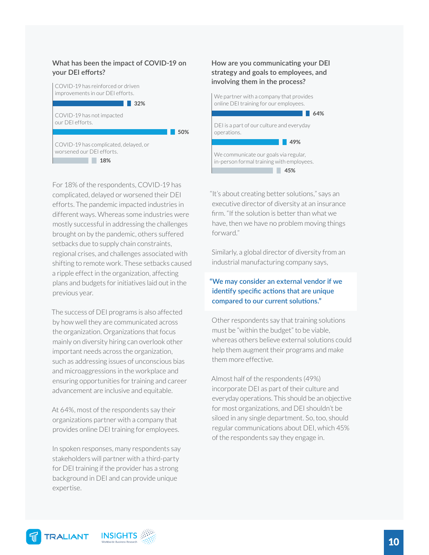#### **What has been the impact of COVID-19 on your DEI efforts?**



For 18% of the respondents, COVID-19 has complicated, delayed or worsened their DEI efforts. The pandemic impacted industries in different ways. Whereas some industries were mostly successful in addressing the challenges brought on by the pandemic, others suffered setbacks due to supply chain constraints, regional crises, and challenges associated with shifting to remote work. These setbacks caused a ripple effect in the organization, affecting plans and budgets for initiatives laid out in the previous year.

The success of DEI programs is also affected by how well they are communicated across the organization. Organizations that focus mainly on diversity hiring can overlook other important needs across the organization, such as addressing issues of unconscious bias and microaggressions in the workplace and ensuring opportunities for training and career advancement are inclusive and equitable.

At 64%, most of the respondents say their organizations partner with a company that provides online DEI training for employees.

In spoken responses, many respondents say stakeholders will partner with a third-party for DEI training if the provider has a strong background in DEI and can provide unique expertise.

#### **How are you communicating your DEI strategy and goals to employees, and involving them in the process?**



"It's about creating better solutions," says an executive director of diversity at an insurance firm. "If the solution is better than what we have, then we have no problem moving things forward."

Similarly, a global director of diversity from an industrial manufacturing company says,

#### **"We may consider an external vendor if we identify specific actions that are unique compared to our current solutions."**

Other respondents say that training solutions must be "within the budget" to be viable, whereas others believe external solutions could help them augment their programs and make them more effective.

Almost half of the respondents (49%) incorporate DEI as part of their culture and everyday operations. This should be an objective for most organizations, and DEI shouldn't be siloed in any single department. So, too, should regular communications about DEI, which 45% of the respondents say they engage in.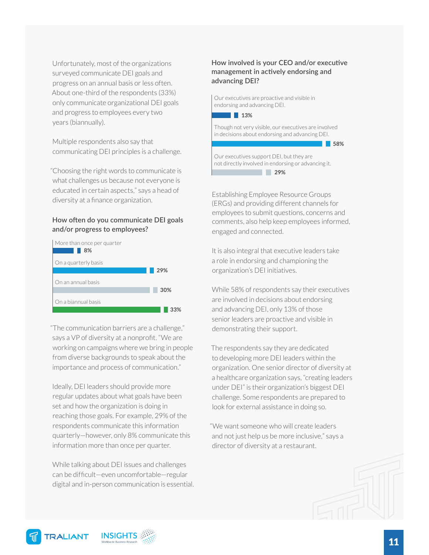Unfortunately, most of the organizations surveyed communicate DEI goals and progress on an annual basis or less often. About one-third of the respondents (33%) only communicate organizational DEI goals and progress to employees every two years (biannually).

Multiple respondents also say that communicating DEI principles is a challenge.

"Choosing the right words to communicate is what challenges us because not everyone is educated in certain aspects," says a head of diversity at a finance organization.

#### **How often do you communicate DEI goals and/or progress to employees?**



"The communication barriers are a challenge," says a VP of diversity at a nonprofit. "We are working on campaigns where we bring in people from diverse backgrounds to speak about the importance and process of communication."

Ideally, DEI leaders should provide more regular updates about what goals have been set and how the organization is doing in reaching those goals. For example, 29% of the respondents communicate this information quarterly—however, only 8% communicate this information more than once per quarter.

While talking about DEI issues and challenges can be difficult—even uncomfortable—regular digital and in-person communication is essential.

#### **How involved is your CEO and/or executive management in actively endorsing and advancing DEI?**

Our executives are proactive and visible in endorsing and advancing DEI.



Though not very visible, our executives are involved in decisions about endorsing and advancing DEI.

**58%**

Our executives support DEI, but they are not directly involved in endorsing or advancing it. **29%**

Establishing Employee Resource Groups (ERGs) and providing different channels for employees to submit questions, concerns and comments, also help keep employees informed, engaged and connected.

It is also integral that executive leaders take a role in endorsing and championing the organization's DEI initiatives.

While 58% of respondents say their executives are involved in decisions about endorsing and advancing DEI, only 13% of those senior leaders are proactive and visible in demonstrating their support.

The respondents say they are dedicated to developing more DEI leaders within the organization. One senior director of diversity at a healthcare organization says, "creating leaders under DEI" is their organization's biggest DEI challenge. Some respondents are prepared to look for external assistance in doing so.

"We want someone who will create leaders and not just help us be more inclusive," says a director of diversity at a restaurant.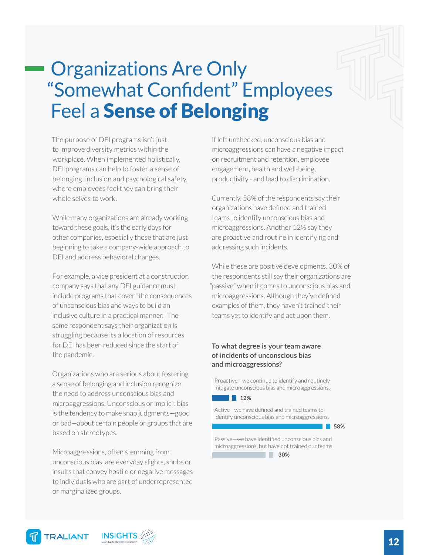### <span id="page-11-0"></span>Organizations Are Only "Somewhat Confident" Employees Feel a Sense of Belonging

The purpose of DEI programs isn't just to improve diversity metrics within the workplace. When implemented holistically, DEI programs can help to foster a sense of belonging, inclusion and psychological safety, where employees feel they can bring their whole selves to work.

While many organizations are already working toward these goals, it's the early days for other companies, especially those that are just beginning to take a company-wide approach to DEI and address behavioral changes.

For example, a vice president at a construction company says that any DEI guidance must include programs that cover "the consequences of unconscious bias and ways to build an inclusive culture in a practical manner." The same respondent says their organization is struggling because its allocation of resources for DEI has been reduced since the start of the pandemic.

Organizations who are serious about fostering a sense of belonging and inclusion recognize the need to address unconscious bias and microaggressions. Unconscious or implicit bias is the tendency to make snap judgments—good or bad—about certain people or groups that are based on stereotypes.

Microaggressions, often stemming from unconscious bias, are everyday slights, snubs or insults that convey hostile or negative messages to individuals who are part of underrepresented or marginalized groups.

If left unchecked, unconscious bias and microaggressions can have a negative impact on recruitment and retention, employee engagement, health and well-being, productivity - and lead to discrimination.

Currently, 58% of the respondents say their organizations have defined and trained teams to identify unconscious bias and microaggressions. Another 12% say they are proactive and routine in identifying and addressing such incidents.

While these are positive developments, 30% of the respondents still say their organizations are "passive" when it comes to unconscious bias and microaggressions. Although they've defined examples of them, they haven't trained their teams yet to identify and act upon them.

#### **To what degree is your team aware of incidents of unconscious bias and microaggressions?**

Proactive—we continue to identify and routinely mitigate unconscious bias and microaggressions.



Active—we have defined and trained teams to identify unconscious bias and microaggressions.

**58%**

Passive—we have identified unconscious bias and microaggressions, but have not trained our teams.

**30%**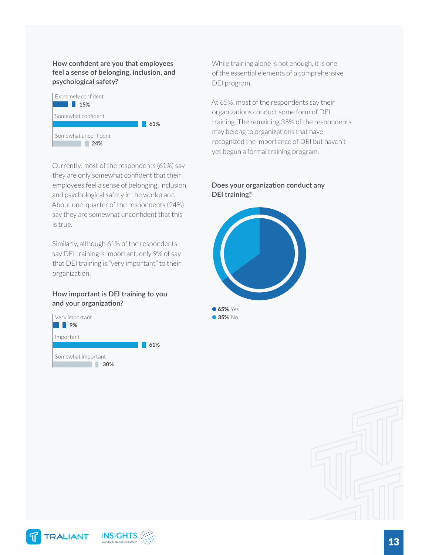**How confident are you that employees feel a sense of belonging, inclusion, and psychological safety?**



Currently, most of the respondents (61%) say they are only somewhat confident that their employees feel a sense of belonging, inclusion, and psychological safety in the workplace. About one-quarter of the respondents (24%) say they are somewhat unconfident that this is true.

Similarly, although 61% of the respondents say DEI training is important, only 9% of say that DEI training is "very important" to their organization.

#### **How important is DEI training to you and your organization?**



While training alone is not enough, it is one of the essential elements of a comprehensive DEI program.

At 65%, most of the respondents say their organizations conduct some form of DEI training. The remaining 35% of the respondents may belong to organizations that have recognized the importance of DEI but haven't yet begun a formal training program.

#### **Does your organization conduct any DEI training?**





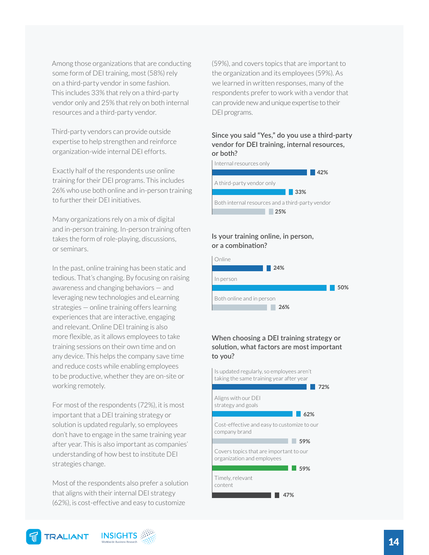Among those organizations that are conducting some form of DEI training, most (58%) rely on a third-party vendor in some fashion. This includes 33% that rely on a third-party vendor only and 25% that rely on both internal resources and a third-party vendor.

Third-party vendors can provide outside expertise to help strengthen and reinforce organization-wide internal DEI efforts.

Exactly half of the respondents use online training for their DEI programs. This includes 26% who use both online and in-person training to further their DEI initiatives.

Many organizations rely on a mix of digital and in-person training. In-person training often takes the form of role-playing, discussions, or seminars.

In the past, online training has been static and tedious. That's changing. By focusing on raising awareness and changing behaviors — and leveraging new technologies and eLearning strategies — online training offers learning experiences that are interactive, engaging and relevant. Online DEI training is also more flexible, as it allows employees to take training sessions on their own time and on any device. This helps the company save time and reduce costs while enabling employees to be productive, whether they are on-site or working remotely.

For most of the respondents (72%), it is most important that a DEI training strategy or solution is updated regularly, so employees don't have to engage in the same training year after year. This is also important as companies' understanding of how best to institute DEI strategies change.

Most of the respondents also prefer a solution that aligns with their internal DEI strategy (62%), is cost-effective and easy to customize

(59%), and covers topics that are important to the organization and its employees (59%). As we learned in written responses, many of the respondents prefer to work with a vendor that can provide new and unique expertise to their DEI programs.

#### **Since you said "Yes," do you use a third-party vendor for DEI training, internal resources, or both?**



#### **Is your training online, in person, or a combination?**



#### **When choosing a DEI training strategy or solution, what factors are most important to you?**

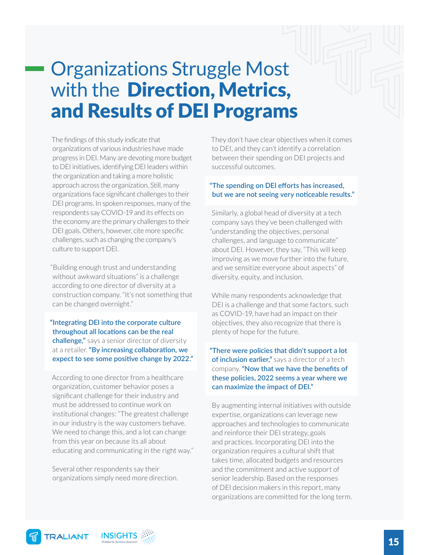### <span id="page-14-0"></span>Organizations Struggle Most with the Direction, Metrics, and Results of DEI Programs

The findings of this study indicate that organizations of various industries have made progress in DEI. Many are devoting more budget to DEI initiatives, identifying DEI leaders within the organization and taking a more holistic approach across the organization. Still, many organizations face significant challenges to their DEI programs. In spoken responses, many of the respondents say COVID-19 and its effects on the economy are the primary challenges to their DEI goals. Others, however, cite more specific challenges, such as changing the company's culture to support DEI.

"Building enough trust and understanding without awkward situations" is a challenge according to one director of diversity at a construction company. "It's not something that can be changed overnight."

**"Integrating DEI into the corporate culture throughout all locations can be the real challenge,"** says a senior director of diversity at a retailer. **"By increasing collaboration, we expect to see some positive change by 2022."**

According to one director from a healthcare organization, customer behavior poses a significant challenge for their industry and must be addressed to continue work on institutional changes: "The greatest challenge in our industry is the way customers behave. We need to change this, and a lot can change from this year on because its all about educating and communicating in the right way."

Several other respondents say their organizations simply need more direction. They don't have clear objectives when it comes to DEI, and they can't identify a correlation between their spending on DEI projects and successful outcomes.

#### **"The spending on DEI efforts has increased, but we are not seeing very noticeable results."**

Similarly, a global head of diversity at a tech company says they've been challenged with "understanding the objectives, personal challenges, and language to communicate" about DEI. However, they say, "This will keep improving as we move further into the future, and we sensitize everyone about aspects" of diversity, equity, and inclusion.

While many respondents acknowledge that DEI is a challenge and that some factors, such as COVID-19, have had an impact on their objectives, they also recognize that there is plenty of hope for the future.

#### **"There were policies that didn't support a lot of inclusion earlier,"** says a director of a tech company. **"Now that we have the benefits of these policies, 2022 seems a year where we can maximize the impact of DEI."**

By augmenting internal initiatives with outside expertise, organizations can leverage new approaches and technologies to communicate and reinforce their DEI strategy, goals and practices. Incorporating DEI into the organization requires a cultural shift that takes time, allocated budgets and resources and the commitment and active support of senior leadership. Based on the responses of DEI decision makers in this report, many organizations are committed for the long term.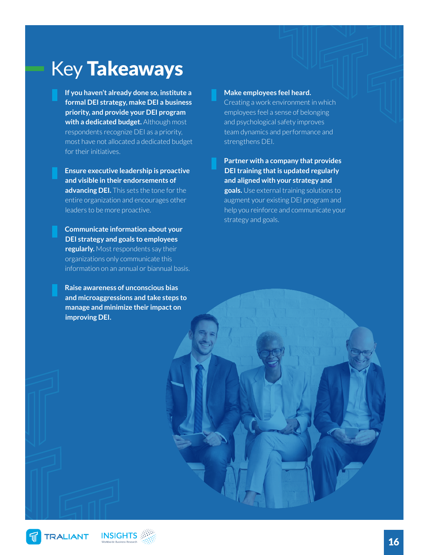### <span id="page-15-0"></span>Key Takeaways

**If you haven't already done so, institute a formal DEI strategy, make DEI a business priority, and provide your DEI program with a dedicated budget.** Although most respondents recognize DEI as a priority, most have not allocated a dedicated budget for their initiatives.

**Ensure executive leadership is proactive and visible in their endorsements of advancing DEI.** This sets the tone for the entire organization and encourages other leaders to be more proactive.

**Communicate information about your DEI strategy and goals to employees regularly.** Most respondents say their organizations only communicate this information on an annual or biannual basis.

**Raise awareness of unconscious bias and microaggressions and take steps to manage and minimize their impact on improving DEI.** 

#### **Make employees feel heard.**

Creating a work environment in which employees feel a sense of belonging and psychological safety improves team dynamics and performance and strengthens DEI.

**Partner with a company that provides DEI training that is updated regularly and aligned with your strategy and goals.** Use external training solutions to augment your existing DEI program and help you reinforce and communicate your strategy and goals.

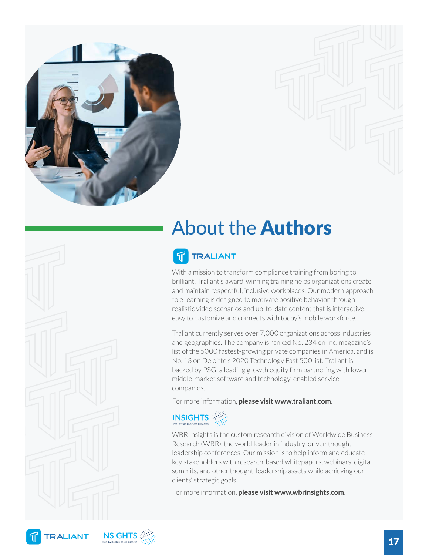<span id="page-16-0"></span>

### About the Authors

#### **TRALIANT** 旬

With a mission to transform compliance training from boring to brilliant, Traliant's award-winning training helps organizations create and maintain respectful, inclusive workplaces. Our modern approach to eLearning is designed to motivate positive behavior through realistic video scenarios and up-to-date content that is interactive, easy to customize and connects with today's mobile workforce.

Traliant currently serves over 7,000 organizations across industries and geographies. The company is ranked No. 234 on Inc. magazine's list of the 5000 fastest-growing private companies in America, and is No. 13 on Deloitte's 2020 Technology Fast 500 list. Traliant is backed by PSG, a leading growth equity firm partnering with lower middle-market software and technology-enabled service companies.

For more information, **please visit www.traliant.com.**



WBR Insights is the custom research division of Worldwide Business Research (WBR), the world leader in industry-driven thoughtleadership conferences. Our mission is to help inform and educate key stakeholders with research-based whitepapers, webinars, digital summits, and other thought-leadership assets while achieving our clients' strategic goals.

For more information, **please visit www.wbrinsights.com.**